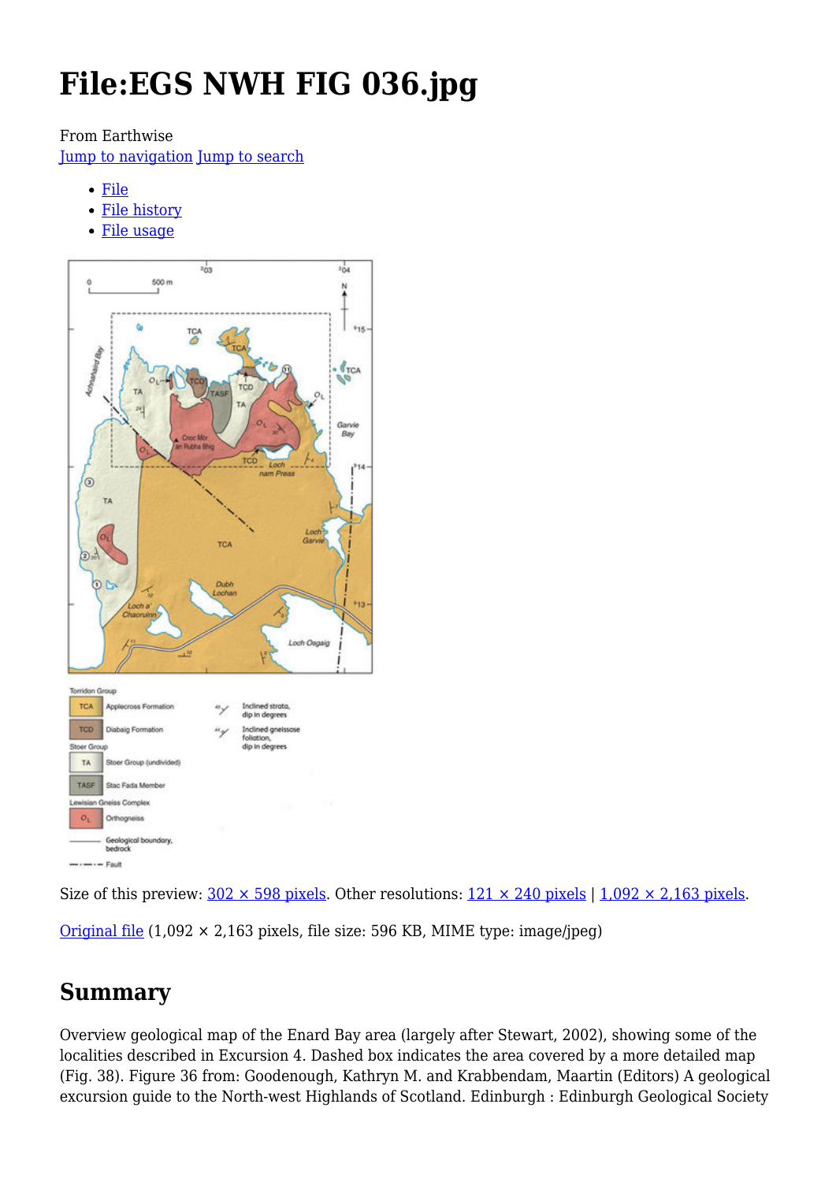# **File:EGS NWH FIG 036.jpg**

#### From Earthwise

[Jump to navigation](#page--1-0) [Jump to search](#page--1-0)

- [File](#page--1-0)
- [File history](#page--1-0)
- [File usage](#page--1-0)



Size of this preview:  $302 \times 598$  pixels. Other resolutions:  $121 \times 240$  pixels |  $1,092 \times 2,163$  pixels.

[Original file](http://earthwise.bgs.ac.uk/images/d/d7/EGS_NWH_FIG_036.jpg)  $(1,092 \times 2,163$  pixels, file size: 596 KB, MIME type: image/jpeg)

## **Summary**

Overview geological map of the Enard Bay area (largely after Stewart, 2002), showing some of the localities described in Excursion 4. Dashed box indicates the area covered by a more detailed map (Fig. 38). Figure 36 from: Goodenough, Kathryn M. and Krabbendam, Maartin (Editors) A geological excursion guide to the North-west Highlands of Scotland. Edinburgh : Edinburgh Geological Society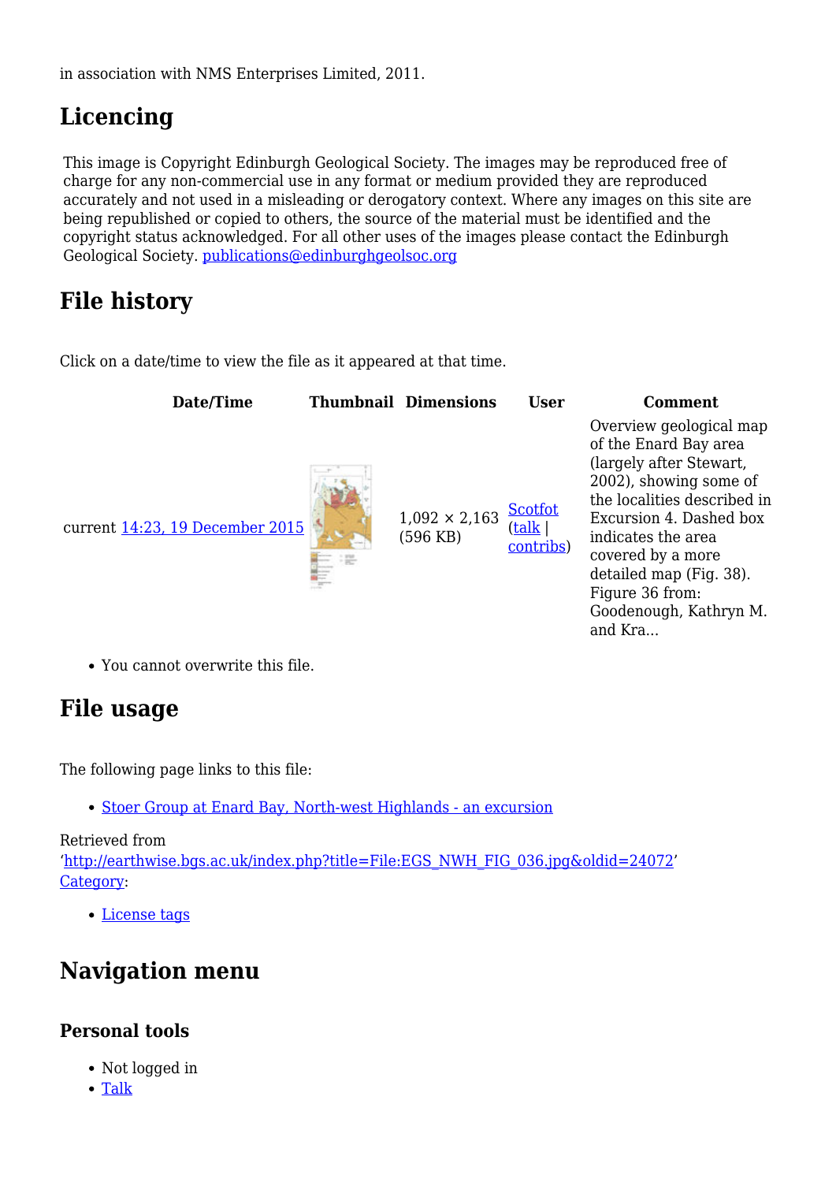in association with NMS Enterprises Limited, 2011.

## **Licencing**

This image is Copyright Edinburgh Geological Society. The images may be reproduced free of charge for any non-commercial use in any format or medium provided they are reproduced accurately and not used in a misleading or derogatory context. Where any images on this site are being republished or copied to others, the source of the material must be identified and the copyright status acknowledged. For all other uses of the images please contact the Edinburgh Geological Society. [publications@edinburghgeolsoc.org](mailto:publications@edinburghgeolsoc.org)

## **File history**

Click on a date/time to view the file as it appeared at that time.



Overview geological map of the Enard Bay area (largely after Stewart, 2002), showing some of the localities described in Excursion 4. Dashed box indicates the area covered by a more detailed map (Fig. 38). Figure 36 from: Goodenough, Kathryn M. and Kra...

You cannot overwrite this file.

## **File usage**

The following page links to this file:

• [Stoer Group at Enard Bay, North-west Highlands - an excursion](http://earthwise.bgs.ac.uk/index.php/Stoer_Group_at_Enard_Bay,_North-west_Highlands_-_an_excursion)

#### Retrieved from '[http://earthwise.bgs.ac.uk/index.php?title=File:EGS\\_NWH\\_FIG\\_036.jpg&oldid=24072'](http://earthwise.bgs.ac.uk/index.php?title=File:EGS_NWH_FIG_036.jpg&oldid=24072) [Category](http://earthwise.bgs.ac.uk/index.php/Special:Categories):

[License tags](http://earthwise.bgs.ac.uk/index.php/Category:License_tags)

## **Navigation menu**

#### **Personal tools**

- Not logged in
- [Talk](http://earthwise.bgs.ac.uk/index.php/Special:MyTalk)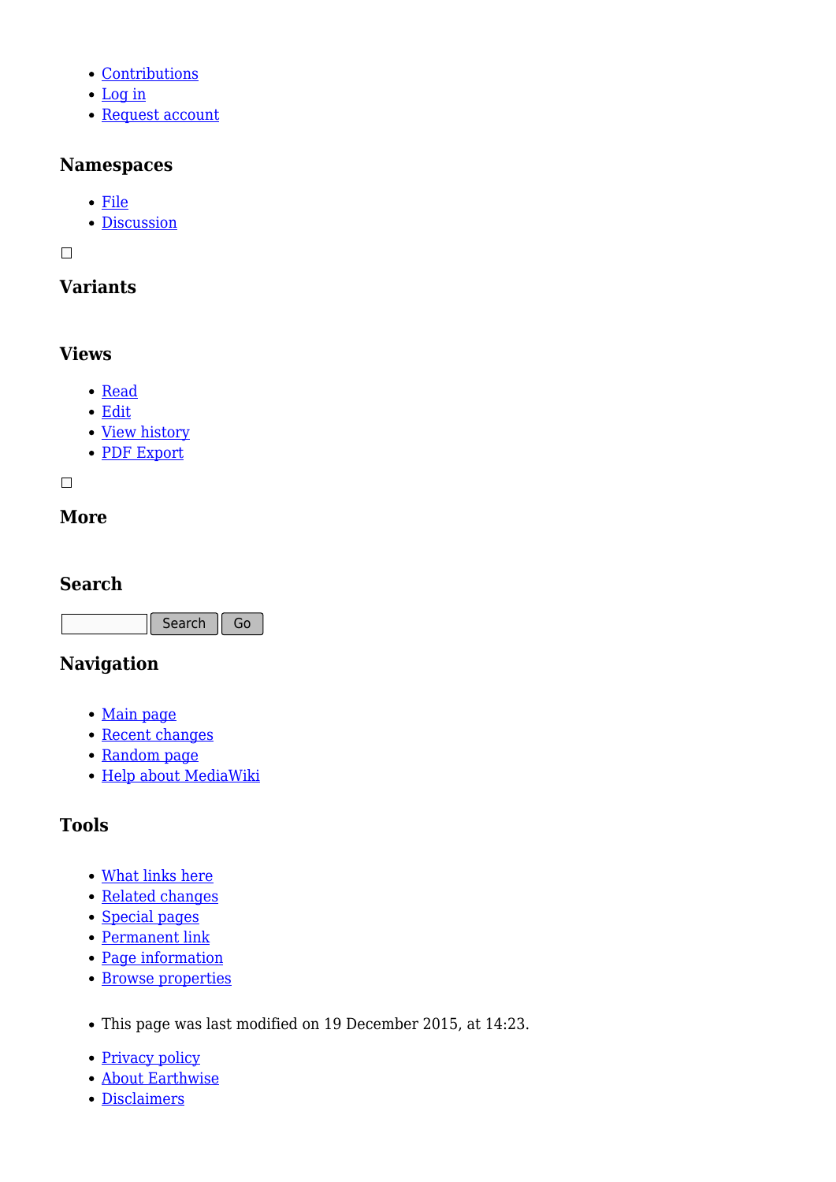- [Contributions](http://earthwise.bgs.ac.uk/index.php/Special:MyContributions)
- [Log in](http://earthwise.bgs.ac.uk/index.php?title=Special:UserLogin&returnto=File%3AEGS+NWH+FIG+036.jpg&returntoquery=action%3Dmpdf)
- [Request account](http://earthwise.bgs.ac.uk/index.php/Special:RequestAccount)

#### **Namespaces**

- [File](http://earthwise.bgs.ac.uk/index.php/File:EGS_NWH_FIG_036.jpg)
- [Discussion](http://earthwise.bgs.ac.uk/index.php?title=File_talk:EGS_NWH_FIG_036.jpg&action=edit&redlink=1)

 $\Box$ 

#### **Variants**

#### **Views**

- [Read](http://earthwise.bgs.ac.uk/index.php/File:EGS_NWH_FIG_036.jpg)
- [Edit](http://earthwise.bgs.ac.uk/index.php?title=File:EGS_NWH_FIG_036.jpg&action=edit)
- [View history](http://earthwise.bgs.ac.uk/index.php?title=File:EGS_NWH_FIG_036.jpg&action=history)
- [PDF Export](http://earthwise.bgs.ac.uk/index.php?title=File:EGS_NWH_FIG_036.jpg&action=mpdf)

 $\Box$ 

#### **More**

#### **Search**

Search Go

#### **Navigation**

- [Main page](http://earthwise.bgs.ac.uk/index.php/Main_Page)
- [Recent changes](http://earthwise.bgs.ac.uk/index.php/Special:RecentChanges)
- [Random page](http://earthwise.bgs.ac.uk/index.php/Special:Random)
- [Help about MediaWiki](https://www.mediawiki.org/wiki/Special:MyLanguage/Help:Contents)

### **Tools**

- [What links here](http://earthwise.bgs.ac.uk/index.php/Special:WhatLinksHere/File:EGS_NWH_FIG_036.jpg)
- [Related changes](http://earthwise.bgs.ac.uk/index.php/Special:RecentChangesLinked/File:EGS_NWH_FIG_036.jpg)
- [Special pages](http://earthwise.bgs.ac.uk/index.php/Special:SpecialPages)
- [Permanent link](http://earthwise.bgs.ac.uk/index.php?title=File:EGS_NWH_FIG_036.jpg&oldid=24072)
- [Page information](http://earthwise.bgs.ac.uk/index.php?title=File:EGS_NWH_FIG_036.jpg&action=info)
- [Browse properties](http://earthwise.bgs.ac.uk/index.php/Special:Browse/:File:EGS-5FNWH-5FFIG-5F036.jpg)
- This page was last modified on 19 December 2015, at 14:23.
- [Privacy policy](http://earthwise.bgs.ac.uk/index.php/Earthwise:Privacy_policy)
- [About Earthwise](http://earthwise.bgs.ac.uk/index.php/Earthwise:About)
- [Disclaimers](http://earthwise.bgs.ac.uk/index.php/Earthwise:General_disclaimer)